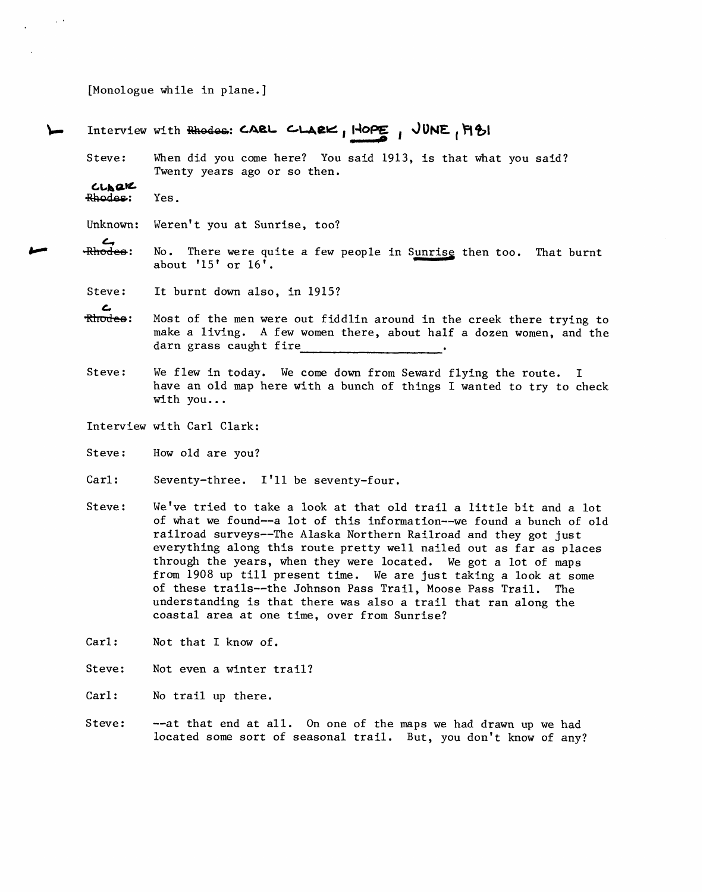[Monologue while in plane. ]

## Interview with Rhodes: CARL CLARK, HOPE, JUNE, M&I

Steve: When did you come here? You said 1913, is that what you said? Twenty years ago or so then.

 $CL_{\mathbf{A}}\mathbf{Q}\mathbf{K}$ Rhodes: Yes.

 $\zeta$  .

Unknown: Weren't you at Sunrise, too?

**ب**<br>-Rhodes: No. There were quite a few people in Sunris<u>e</u> then too. That burnt about '15' or 16'.

Steve: It burnt down also, in 1915?

- **ے**<br><del>Rirodee</del>: Most of the men were out fiddlin around in the creek there trying to make a living. A few women there, about half a dozen women, and the darn grass caught fire
- Steve: We flew in today. We come down from Seward flying the route. I have an old map here with a bunch of things I wanted to try to check with you.. .
- Interview with Carl Clark:
- Steve: How old are you?
- Carl: Seventy-three. I'll be seventy-four.
- Steve: We've tried to take a look at that old trail a little bit and a lot of what we found--a lot of this information--we found a bunch of old railroad surveys--The Alaska Northern Railroad and they got just everything along this route pretty well nailed out as far as places through the years, when they were located. We got a lot of maps from 1908 up till present time. We are just taking a look at some of these trails--the Johnson Pass Trail, Moose Pass Trail. The understanding is that there was also a trail that ran along the coastal area at one time, over from Sunrise?
- Carl: Not that I know of.
- Steve: Not even a winter trail?

Carl: No trail up there.

Steve: -- at that end at all. On one of the maps we had drawn up we had located some sort of seasonal trail. But, you don't know of any?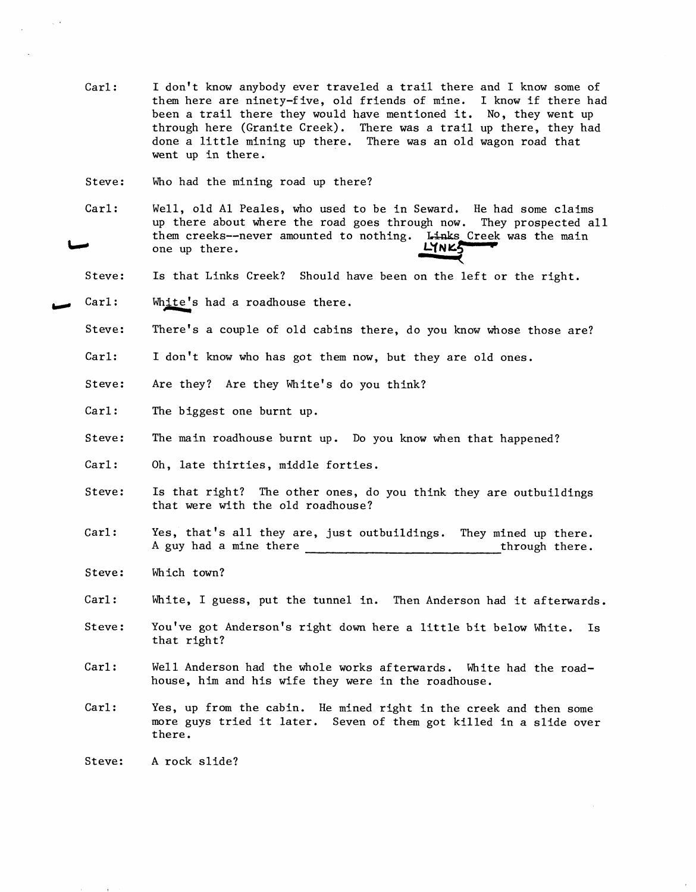- Carl: I don't know anybody ever traveled a trail there and I know some of them here are ninety-f ive, old friends of mine. I know if there had been a trail there they would have mentioned it. No, they went up through here (Granite Creek). There was a trail up there, they had done a little mining up there. There was an old wagon road that went up in there.
- Steve: Who had the mining road up there?
- Carl: Well, old Al Peales, who used to be in Seward. He had some claims up there about where the road goes through now. They prospected all them creeks--never amounted to nothing. Links<br>one up there.  $L\gamma_{N}\mathcal{L}^{f}$ one up there. **1998**<br> **1998**<br> **1998**<br> **1998**<br> **1998**<br> **1998**<br> **1998**<br> **1998**<br> **1998**<br> **1998**<br> **1998**<br> **1998**<br> **1998**<br> **1998**<br> **1998**<br> **1998**<br> **1998**<br> **1998**<br> **1998** Links Creek was the main
- Steve: Is that Links Creek? Should have been on the left or the right.
- $\text{Carl}:$  White's had a roadhouse there.
	- Steve: There's a couple of old cabins there, do you know whose those are?
	- Carl: I don't know who has got them now, but they are old ones.
	- Steve: Are they? Are they White's do you think?
	- Carl: The biggest one burnt up.
	- Steve: The main roadhouse burnt up. Do you know when that happened?
	- Carl: Oh, late thirties, middle forties.
	- Steve: Is that right? The other ones, do you think they are outbuildings that were with the old roadhouse?
	- Yes, that's all they are, just outbuildings. They mined up there. A guy had a mine there there through there. Carl:
	- Steve: Which town?
	- Carl: White, I guess, put the tunnel in. Then Anderson had it afterwards.
	- Steve: You've got Anderson's right down here a little bit below White. Is that right?
	- Carl: Well Anderson had the whole works afterwards. White had the roadhouse, him and his wife they were in the roadhouse.
	- Carl: Yes, up from the cabin. He mined right in the creek and then some more guys tried it later. Seven of them got killed in a slide over there.

Steve: **A** rock slide?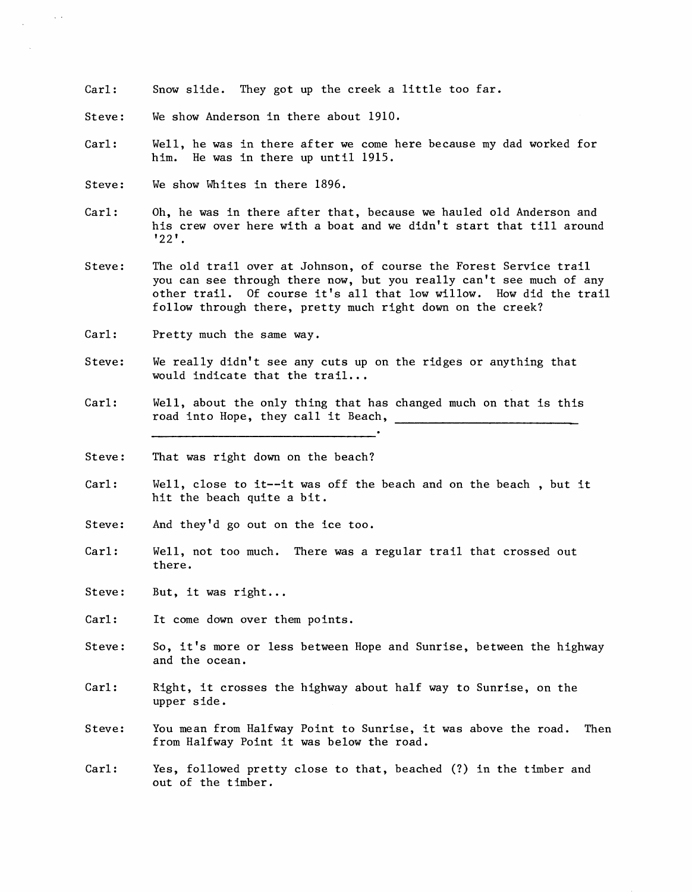- Carl : Snow slide. They got up the creek a little too far.
- Steve : We show Anderson in there about 1910.
- Carl: Well, he was in there after we come here because my dad worked for him. He was in there up until 1915.
- Steve: We show Whites in there 1896.
- Carl : Oh, he was in there after that, because we hauled old Anderson and his crew over here with a boat and we didn't start that till around '22'.
- Steve: The old trail over at Johnson, of course the Forest Service trail you can see through there now, but you really can't see much of any other trail. Of course it's all that low willow. How did the trail follow through there, pretty much right down on the creek?
- Carl: Pretty much the same way.
- Steve: We really didn't see any cuts up on the ridges or anything that would indicate that the trail.. .
- Carl: Well, about the only thing that has changed much on that is this road into Hope, they call it Beach,
- Steve : That was right down on the beach?
- Carl : Well, close to it--it was off the beach and on the beach , but it hit the beach quite a bit.
- Steve: And they'd go out on the ice too.
- Carl: Well, not too much. There was a regular trail that crossed out there.
- Steve: But, it was right.. .
- Carl: It come down over them points.
- Steve : So, it's more or less between Hope and Sunrise, between the highway and the ocean.
- Carl : Right, it crosses the highway about half way to Sunrise, on the upper side.
- Steve: You mean from Halfway Point to Sunrise, it was above the road. Then from Halfway Point it was below the road.
- Carl: Yes, followed pretty close to that, beached (?) in the timber and out of the timber.